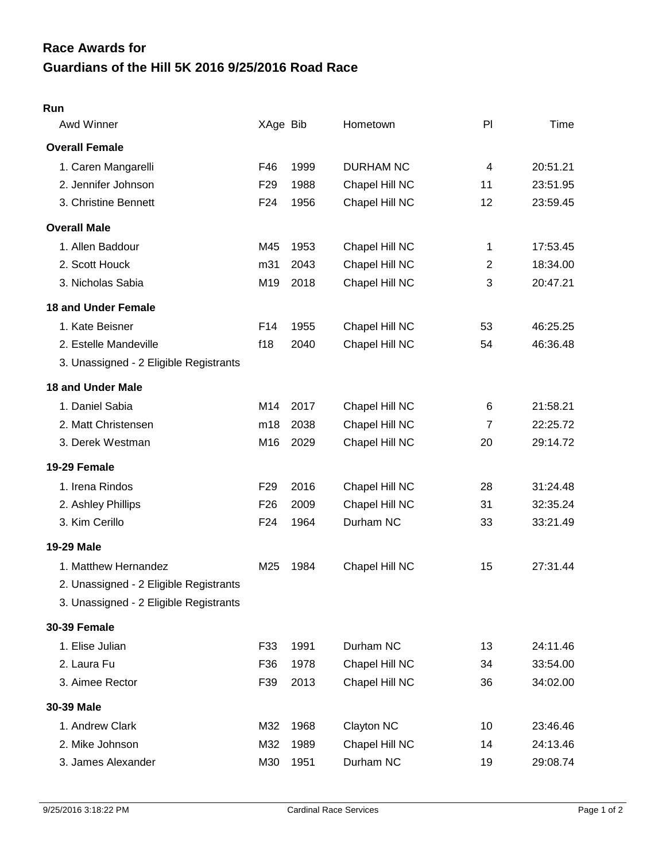## **Guardians of the Hill 5K 2016 9/25/2016 Road Race Race Awards for**

| Awd Winner                             | XAge Bib        |      | Hometown         | P              | Time     |
|----------------------------------------|-----------------|------|------------------|----------------|----------|
| <b>Overall Female</b>                  |                 |      |                  |                |          |
| 1. Caren Mangarelli                    | F46             | 1999 | <b>DURHAM NC</b> | 4              | 20:51.21 |
| 2. Jennifer Johnson                    | F <sub>29</sub> | 1988 | Chapel Hill NC   | 11             | 23:51.95 |
| 3. Christine Bennett                   | F <sub>24</sub> | 1956 | Chapel Hill NC   | 12             | 23:59.45 |
| <b>Overall Male</b>                    |                 |      |                  |                |          |
| 1. Allen Baddour                       | M45             | 1953 | Chapel Hill NC   | 1              | 17:53.45 |
| 2. Scott Houck                         | m31             | 2043 | Chapel Hill NC   | $\overline{2}$ | 18:34.00 |
| 3. Nicholas Sabia                      | M19             | 2018 | Chapel Hill NC   | 3              | 20:47.21 |
| <b>18 and Under Female</b>             |                 |      |                  |                |          |
| 1. Kate Beisner                        | F14             | 1955 | Chapel Hill NC   | 53             | 46:25.25 |
| 2. Estelle Mandeville                  | f18             | 2040 | Chapel Hill NC   | 54             | 46:36.48 |
| 3. Unassigned - 2 Eligible Registrants |                 |      |                  |                |          |
| <b>18 and Under Male</b>               |                 |      |                  |                |          |
| 1. Daniel Sabia                        | M14             | 2017 | Chapel Hill NC   | 6              | 21:58.21 |
| 2. Matt Christensen                    | m18             | 2038 | Chapel Hill NC   | 7              | 22:25.72 |
| 3. Derek Westman                       | M16             | 2029 | Chapel Hill NC   | 20             | 29:14.72 |
| 19-29 Female                           |                 |      |                  |                |          |
| 1. Irena Rindos                        | F <sub>29</sub> | 2016 | Chapel Hill NC   | 28             | 31:24.48 |
| 2. Ashley Phillips                     | F <sub>26</sub> | 2009 | Chapel Hill NC   | 31             | 32:35.24 |
| 3. Kim Cerillo                         | F <sub>24</sub> | 1964 | Durham NC        | 33             | 33:21.49 |
| 19-29 Male                             |                 |      |                  |                |          |
| 1. Matthew Hernandez                   | M25             | 1984 | Chapel Hill NC   | 15             | 27:31.44 |
| 2. Unassigned - 2 Eligible Registrants |                 |      |                  |                |          |
| 3. Unassigned - 2 Eligible Registrants |                 |      |                  |                |          |
| <b>30-39 Female</b>                    |                 |      |                  |                |          |
| 1. Elise Julian                        | F33             | 1991 | Durham NC        | 13             | 24:11.46 |
| 2. Laura Fu                            | F36             | 1978 | Chapel Hill NC   | 34             | 33:54.00 |
| 3. Aimee Rector                        | F39             | 2013 | Chapel Hill NC   | 36             | 34:02.00 |
| 30-39 Male                             |                 |      |                  |                |          |
| 1. Andrew Clark                        | M32             | 1968 | Clayton NC       | 10             | 23:46.46 |
| 2. Mike Johnson                        | M32             | 1989 | Chapel Hill NC   | 14             | 24:13.46 |
| 3. James Alexander                     | M30             | 1951 | Durham NC        | 19             | 29:08.74 |